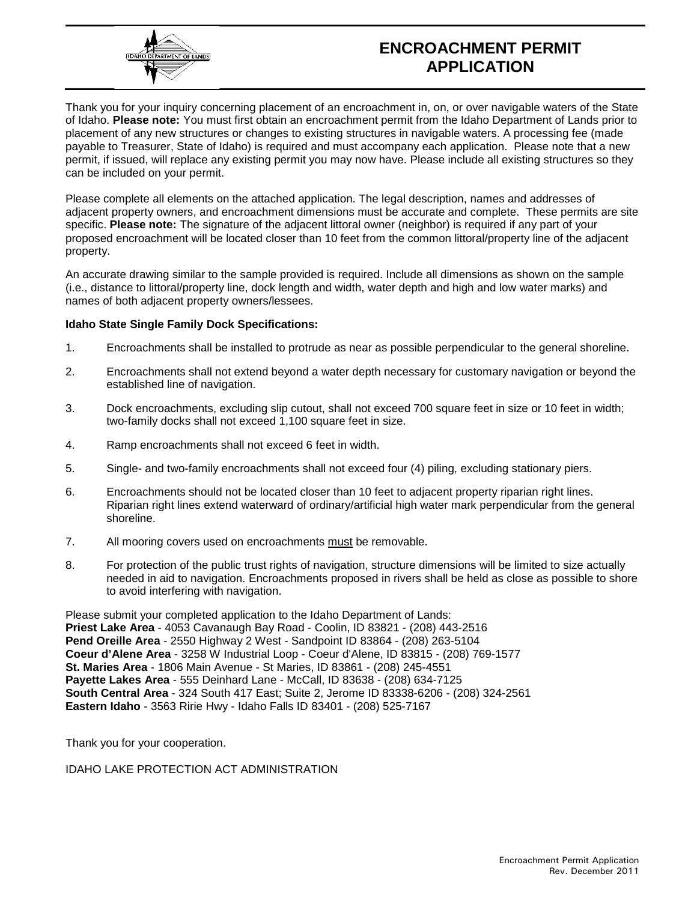

## **ENCROACHMENT PERMIT APPLICATION**

Thank you for your inquiry concerning placement of an encroachment in, on, or over navigable waters of the State of Idaho. **Please note:** You must first obtain an encroachment permit from the Idaho Department of Lands prior to placement of any new structures or changes to existing structures in navigable waters. A processing fee (made payable to Treasurer, State of Idaho) is required and must accompany each application. Please note that a new permit, if issued, will replace any existing permit you may now have. Please include all existing structures so they can be included on your permit.

Please complete all elements on the attached application. The legal description, names and addresses of adjacent property owners, and encroachment dimensions must be accurate and complete. These permits are site specific. **Please note:** The signature of the adjacent littoral owner (neighbor) is required if any part of your proposed encroachment will be located closer than 10 feet from the common littoral/property line of the adjacent property.

An accurate drawing similar to the sample provided is required. Include all dimensions as shown on the sample (i.e., distance to littoral/property line, dock length and width, water depth and high and low water marks) and names of both adjacent property owners/lessees.

## **Idaho State Single Family Dock Specifications:**

- 1. Encroachments shall be installed to protrude as near as possible perpendicular to the general shoreline.
- 2. Encroachments shall not extend beyond a water depth necessary for customary navigation or beyond the established line of navigation.
- 3. Dock encroachments, excluding slip cutout, shall not exceed 700 square feet in size or 10 feet in width; two-family docks shall not exceed 1,100 square feet in size.
- 4. Ramp encroachments shall not exceed 6 feet in width.
- 5. Single- and two-family encroachments shall not exceed four (4) piling, excluding stationary piers.
- 6. Encroachments should not be located closer than 10 feet to adjacent property riparian right lines. Riparian right lines extend waterward of ordinary/artificial high water mark perpendicular from the general shoreline.
- 7. All mooring covers used on encroachments must be removable.
- 8. For protection of the public trust rights of navigation, structure dimensions will be limited to size actually needed in aid to navigation. Encroachments proposed in rivers shall be held as close as possible to shore to avoid interfering with navigation.

Please submit your completed application to the Idaho Department of Lands: **Priest Lake Area** - 4053 Cavanaugh Bay Road - Coolin, ID 83821 - (208) 443-2516 **Pend Oreille Area** - 2550 Highway 2 West - Sandpoint ID 83864 - (208) 263-5104 **Coeur d'Alene Area** - 3258 W Industrial Loop - Coeur d'Alene, ID 83815 - (208) 769-1577 **St. Maries Area** - 1806 Main Avenue - St Maries, ID 83861 - (208) 245-4551 **Payette Lakes Area** - 555 Deinhard Lane - McCall, ID 83638 - (208) 634-7125 **South Central Area** - 324 South 417 East; Suite 2, Jerome ID 83338-6206 - (208) 324-2561 **Eastern Idaho** - 3563 Ririe Hwy - Idaho Falls ID 83401 - (208) 525-7167

Thank you for your cooperation.

IDAHO LAKE PROTECTION ACT ADMINISTRATION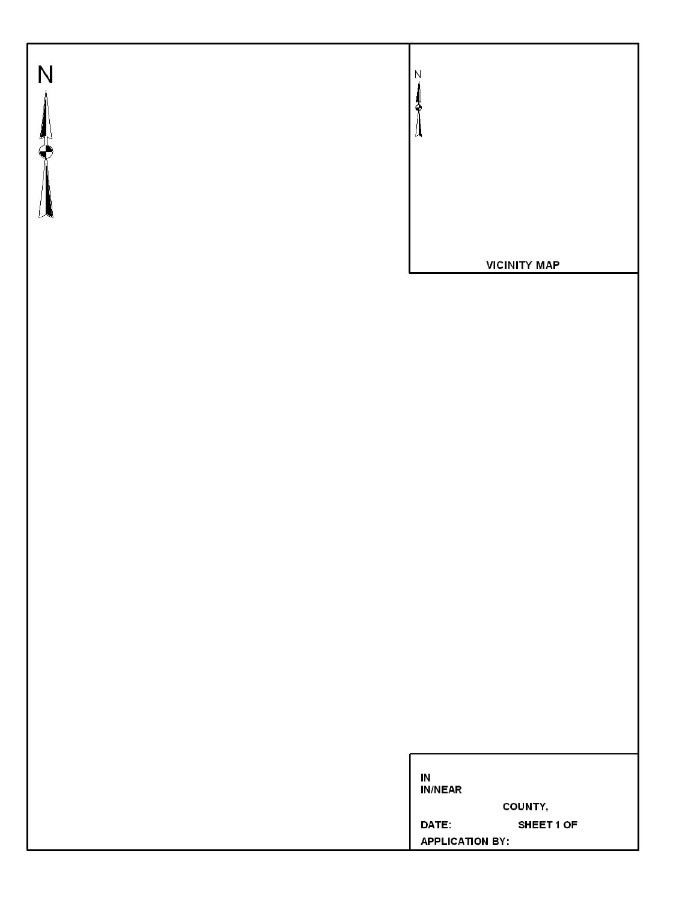| N<br>P | N<br>Д<br><b>VICINITY MAP</b>                                                    |
|--------|----------------------------------------------------------------------------------|
|        |                                                                                  |
|        |                                                                                  |
|        | IN<br><b>IN/NEAR</b><br>COUNTY,<br>SHEET 1 OF<br>DATE:<br><b>APPLICATION BY:</b> |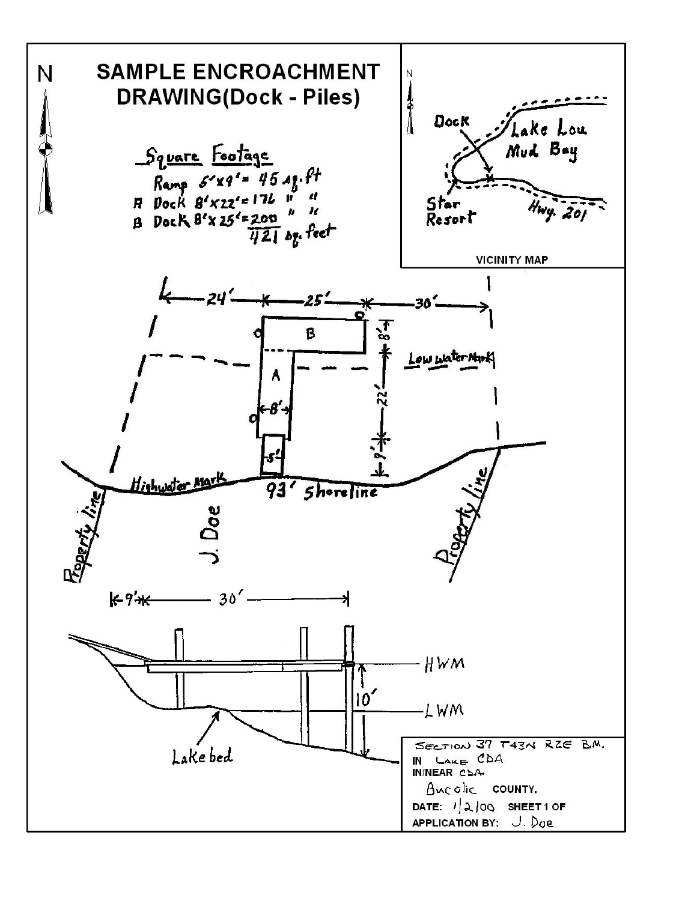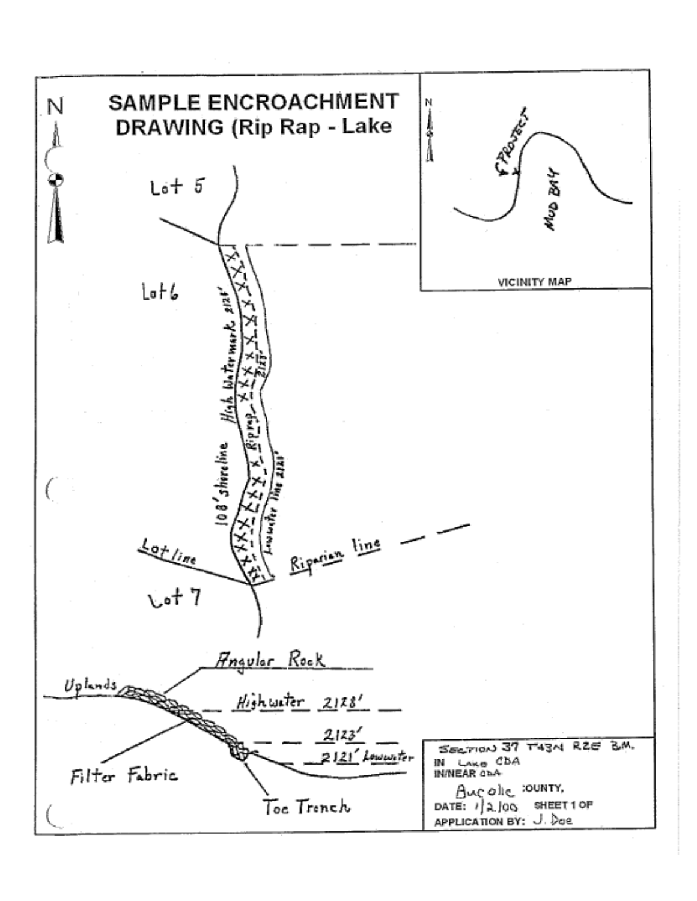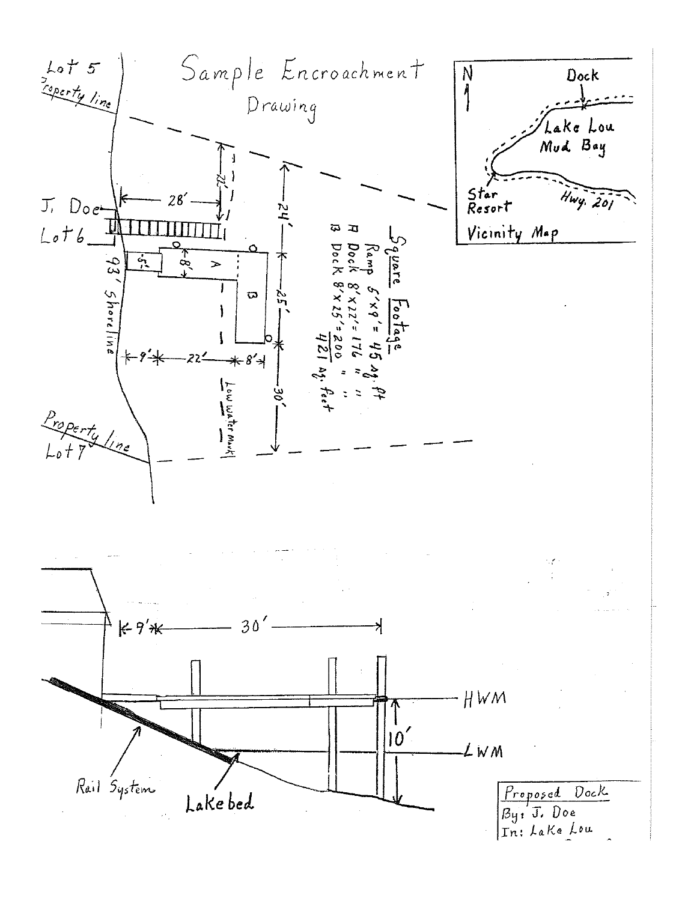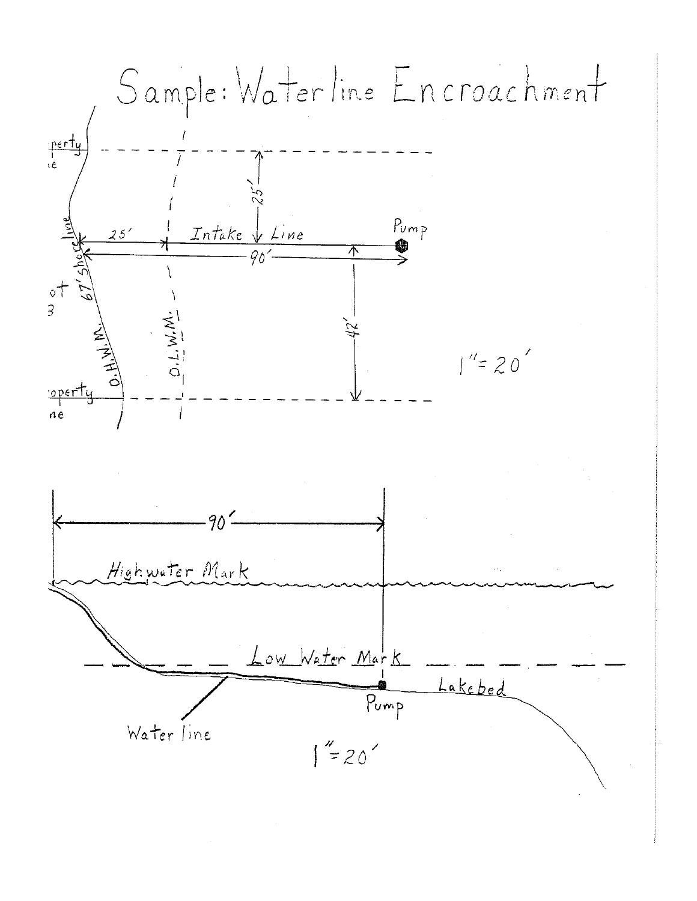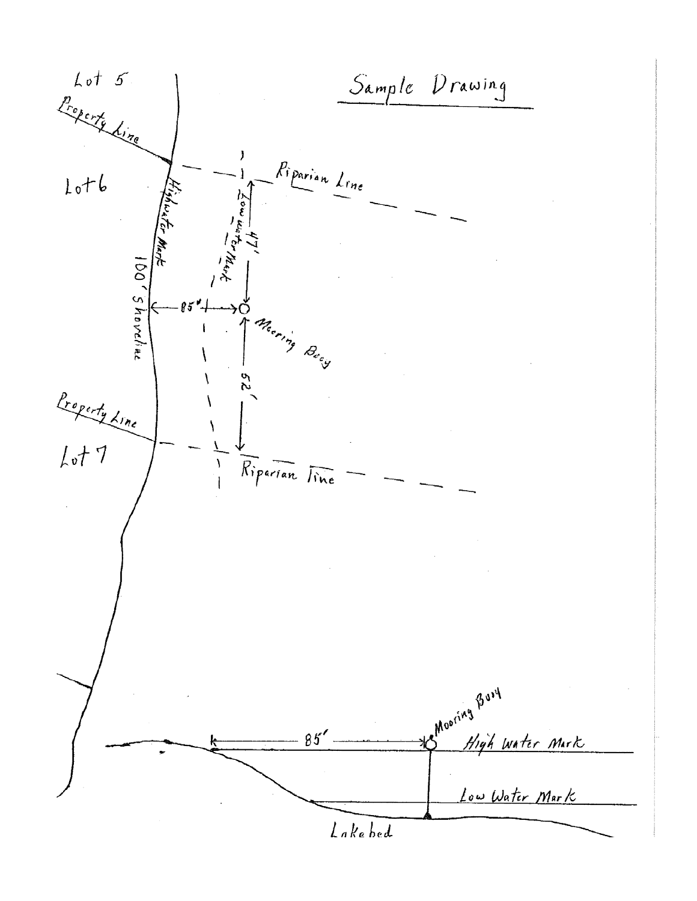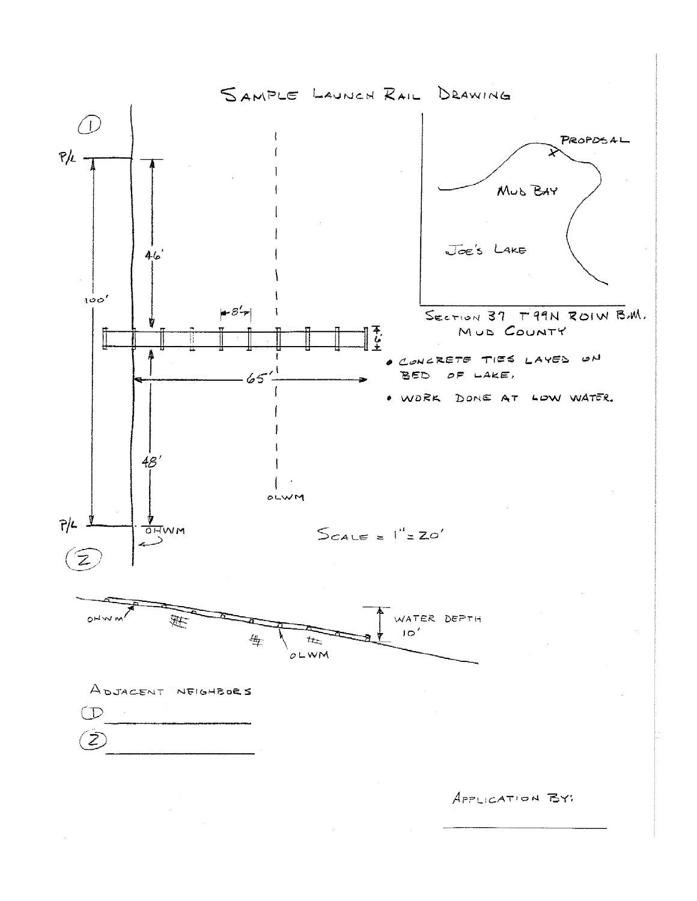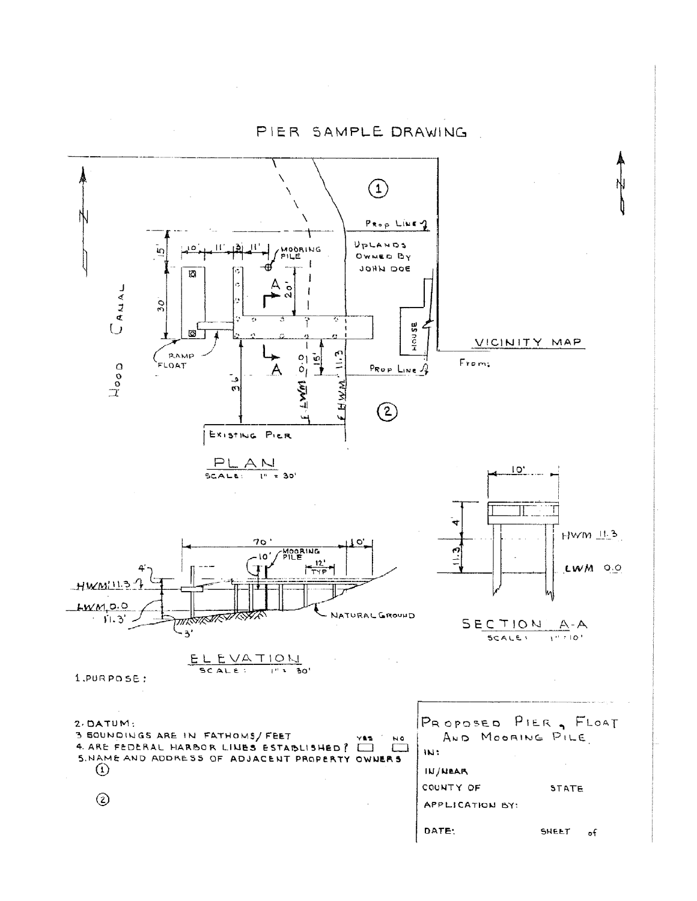PIER SAMPLE DRAWING

 $\sim$ 

 $\sim 10^{-11}$